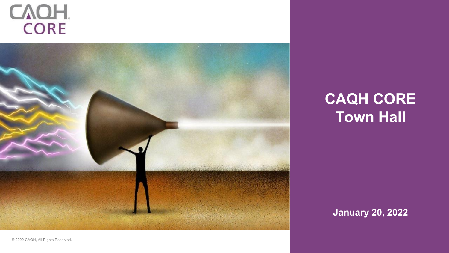# CAOH.



### **CAQH CORE Town Hall**

**January 20, 2022**

© 2022 CAQH, All Rights Reserved.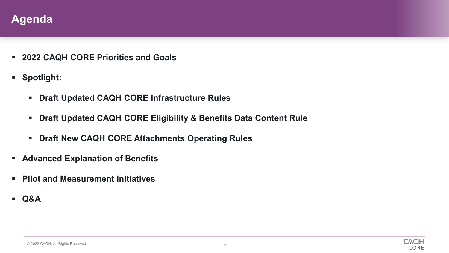

- **2022 CAQH CORE Priorities and Goals**
- **Spotlight:**
	- **Draft Updated CAQH CORE Infrastructure Rules**
	- **Draft Updated CAQH CORE Eligibility & Benefits Data Content Rule**
	- **Draft New CAQH CORE Attachments Operating Rules**
- **Advanced Explanation of Benefits**
- **Pilot and Measurement Initiatives**
- **Q&A**

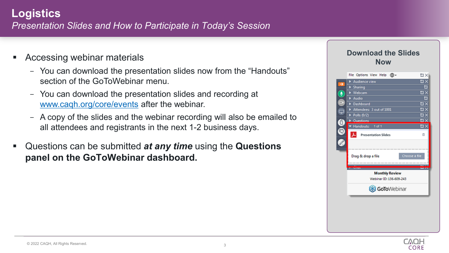### **Logistics** *Presentation Slides and How to Participate in Today's Session*

- Accessing webinar materials
	- You can download the presentation slides now from the "Handouts" section of the GoToWebinar menu.
	- You can download the presentation slides and recording at [www.caqh.org/core/events](http://www.caqh.org/core/events) after the webinar.
	- A copy of the slides and the webinar recording will also be emailed to all attendees and registrants in the next 1-2 business days.
- Questions can be submitted *at any time* using the **Questions panel on the GoToWebinar dashboard.**

#### **Download the Slides Now**



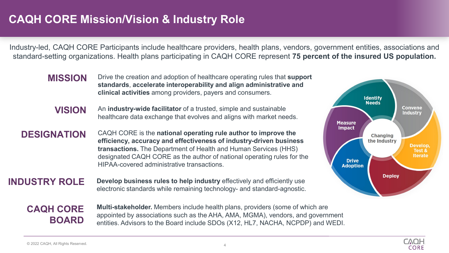### **CAQH CORE Mission/Vision & Industry Role**

Industry-led, CAQH CORE Participants include healthcare providers, health plans, vendors, government entities, associations and standard-setting organizations. Health plans participating in CAQH CORE represent **75 percent of the insured US population.**

- **MISSION** Drive the creation and adoption of healthcare operating rules that **support standards**, **accelerate interoperability and align administrative and clinical activities** among providers, payers and consumers.
	- **VISION** An **industry-wide facilitator** of a trusted, simple and sustainable healthcare data exchange that evolves and aligns with market needs.
- **DESIGNATION** CAQH CORE is the **national operating rule author to improve the efficiency, accuracy and effectiveness of industry-driven business transactions.** The Department of Health and Human Services (HHS) designated CAQH CORE as the author of national operating rules for the HIPAA-covered administrative transactions.
- **INDUSTRY ROLE** Develop business rules to help industry effectively and efficiently use electronic standards while remaining technology- and standard-agnostic.



**CAQH CORE BOARD**  **Multi-stakeholder.** Members include health plans, providers (some of which are appointed by associations such as the AHA, AMA, MGMA), vendors, and government entities. Advisors to the Board include SDOs (X12, HL7, NACHA, NCPDP) and WEDI.

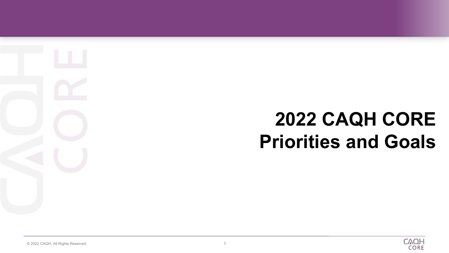## **2022 CAQH CORE Priorities and Goals**

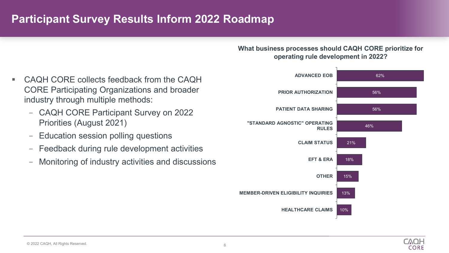### **Participant Survey Results Inform 2022 Roadmap**

**What business processes should CAQH CORE prioritize for operating rule development in 2022?**



**CVOF CORE** 

- CAQH CORE collects feedback from the CAQH CORE Participating Organizations and broader industry through multiple methods:
	- CAQH CORE Participant Survey on 2022 Priorities (August 2021)
	- Education session polling questions
	- Feedback during rule development activities
	- Monitoring of industry activities and discussions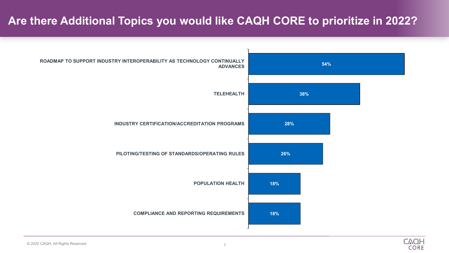### **Are there Additional Topics you would like CAQH CORE to prioritize in 2022?**



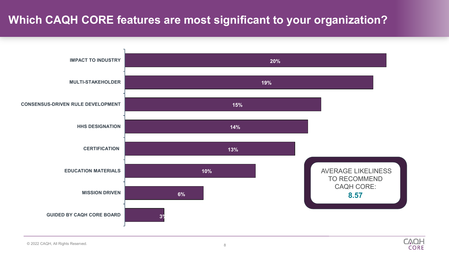### **Which CAQH CORE features are most significant to your organization?**



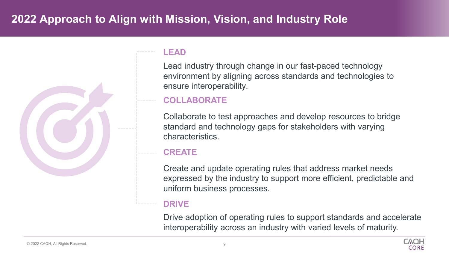### **2022 Approach to Align with Mission, Vision, and Industry Role**



#### **LEAD**

Lead industry through change in our fast-paced technology environment by aligning across standards and technologies to ensure interoperability.

#### **COLLABORATE**

Collaborate to test approaches and develop resources to bridge standard and technology gaps for stakeholders with varying characteristics.

#### **CREATE**

Create and update operating rules that address market needs expressed by the industry to support more efficient, predictable and uniform business processes.

#### **DRIVE**

Drive adoption of operating rules to support standards and accelerate interoperability across an industry with varied levels of maturity.

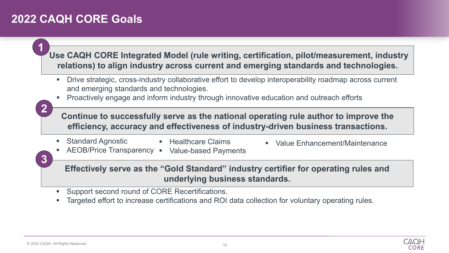### **2022 CAQH CORE Goals**

**Use CAQH CORE Integrated Model (rule writing, certification, pilot/measurement, industry relations) to align industry across current and emerging standards and technologies.**

- Drive strategic, cross-industry collaborative effort to develop interoperability roadmap across current and emerging standards and technologies.
- Proactively engage and inform industry through innovative education and outreach efforts

**2**

**1**

**3**

**Continue to successfully serve as the national operating rule author to improve the efficiency, accuracy and effectiveness of industry-driven business transactions.**

■ Standard Agnostic

**Healthcare Claims** 

- Value Enhancement/Maintenance
- **AEOB/Price Transparency Value-based Payments**

**Effectively serve as the "Gold Standard" industry certifier for operating rules and underlying business standards.**

- **Support second round of CORE Recertifications.**
- Targeted effort to increase certifications and ROI data collection for voluntary operating rules.

CORE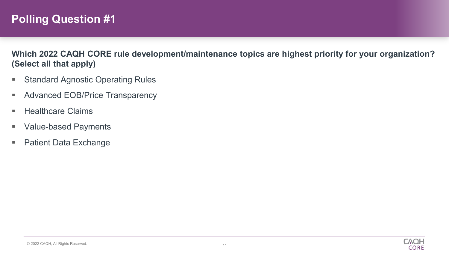### **Polling Question #1**

**Which 2022 CAQH CORE rule development/maintenance topics are highest priority for your organization? (Select all that apply)** 

- **Standard Agnostic Operating Rules**
- **Advanced EOB/Price Transparency**
- **Healthcare Claims**
- **Value-based Payments**
- Patient Data Exchange

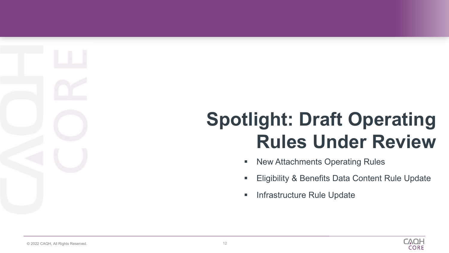**Spotlight: Draft Operating Rules Under Review**

- **New Attachments Operating Rules**
- Eligibility & Benefits Data Content Rule Update
- Infrastructure Rule Update

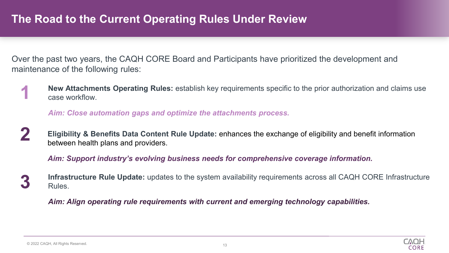### **The Road to the Current Operating Rules Under Review**

Over the past two years, the CAQH CORE Board and Participants have prioritized the development and maintenance of the following rules:

**New Attachments Operating Rules:** establish key requirements specific to the prior authorization and claims use case workflow. **1**

*Aim: Close automation gaps and optimize the attachments process.*

**2 Eligibility & Benefits Data Content Rule Update:** enhances the exchange of eligibility and benefit information between health plans and providers.

*Aim: Support industry's evolving business needs for comprehensive coverage information.*

**3 Infrastructure Rule Update:** updates to the system availability requirements across all CAQH CORE Infrastructure Rules.

*Aim: Align operating rule requirements with current and emerging technology capabilities.*

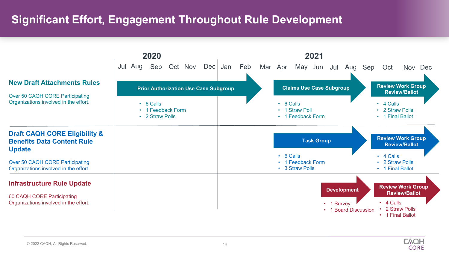### **Significant Effort, Engagement Throughout Rule Development**



**CAOH CORE**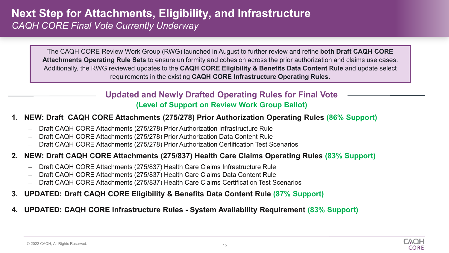The CAQH CORE Review Work Group (RWG) launched in August to further review and refine **both Draft CAQH CORE Attachments Operating Rule Sets** to ensure uniformity and cohesion across the prior authorization and claims use cases. Additionally, the RWG reviewed updates to the **CAQH CORE Eligibility & Benefits Data Content Rule** and update select requirements in the existing **CAQH CORE Infrastructure Operating Rules.**

#### **Updated and Newly Drafted Operating Rules for Final Vote (Level of Support on Review Work Group Ballot)**

#### **1. NEW: Draft CAQH CORE Attachments (275/278) Prior Authorization Operating Rules (86% Support)**

- Draft CAQH CORE Attachments (275/278) Prior Authorization Infrastructure Rule
- Draft CAQH CORE Attachments (275/278) Prior Authorization Data Content Rule
- Draft CAQH CORE Attachments (275/278) Prior Authorization Certification Test Scenarios

#### **2. NEW: Draft CAQH CORE Attachments (275/837) Health Care Claims Operating Rules (83% Support)**

- Draft CAQH CORE Attachments (275/837) Health Care Claims Infrastructure Rule
- Draft CAQH CORE Attachments (275/837) Health Care Claims Data Content Rule
- Draft CAQH CORE Attachments (275/837) Health Care Claims Certification Test Scenarios
- **3. UPDATED: Draft CAQH CORE Eligibility & Benefits Data Content Rule (87% Support)**
- **4. UPDATED: CAQH CORE Infrastructure Rules - System Availability Requirement (83% Support)**

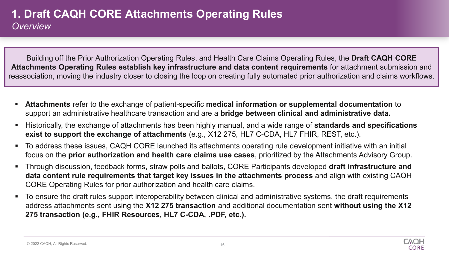### **1. Draft CAQH CORE Attachments Operating Rules** *Overview*

Building off the Prior Authorization Operating Rules, and Health Care Claims Operating Rules, the **Draft CAQH CORE Attachments Operating Rules establish key infrastructure and data content requirements** for attachment submission and reassociation, moving the industry closer to closing the loop on creating fully automated prior authorization and claims workflows.

- **Attachments** refer to the exchange of patient-specific **medical information or supplemental documentation** to support an administrative healthcare transaction and are a **bridge between clinical and administrative data.**
- Historically, the exchange of attachments has been highly manual, and a wide range of **standards and specifications exist to support the exchange of attachments** (e.g., X12 275, HL7 C-CDA, HL7 FHIR, REST, etc.).
- To address these issues, CAQH CORE launched its attachments operating rule development initiative with an initial focus on the **prior authorization and health care claims use cases**, prioritized by the Attachments Advisory Group.
- Through discussion, feedback forms, straw polls and ballots, CORE Participants developed **draft infrastructure and data content rule requirements that target key issues in the attachments process** and align with existing CAQH CORE Operating Rules for prior authorization and health care claims.
- To ensure the draft rules support interoperability between clinical and administrative systems, the draft requirements address attachments sent using the **X12 275 transaction** and additional documentation sent **without using the X12 275 transaction (e.g., FHIR Resources, HL7 C-CDA, .PDF, etc.).**



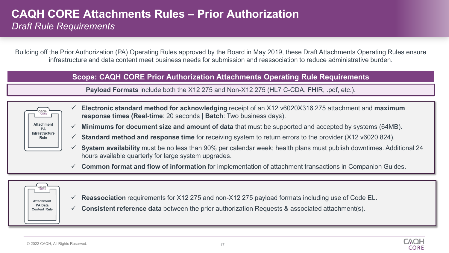#### **CAQH CORE Attachments Rules – Prior Authorization** *Draft Rule Requirements*

Building off the Prior Authorization (PA) Operating Rules approved by the Board in May 2019, these Draft Attachments Operating Rules ensure infrastructure and data content meet business needs for submission and reassociation to reduce administrative burden.

#### **Scope: CAQH CORE Prior Authorization Attachments Operating Rule Requirements**

**Payload Formats** include both the X12 275 and Non-X12 275 (HL7 C-CDA, FHIR, .pdf, etc.).



- **Electronic standard method for acknowledging** receipt of an X12 v6020X316 275 attachment and **maximum response times (Real-time**: 20 seconds **| Batch**: Two business days).
- **Minimums for document size and amount of data** that must be supported and accepted by systems (64MB).
- **Standard method and response time** for receiving system to return errors to the provider (X12 v6020 824).
- **System availability** must be no less than 90% per calendar week; health plans must publish downtimes. Additional 24 hours available quarterly for large system upgrades.
- **Common format and flow of information** for implementation of attachment transactions in Companion Guides.



- **Reassociation** requirements for X12 275 and non-X12 275 payload formats including use of Code EL.
- **Consistent reference data** between the prior authorization Requests & associated attachment(s).

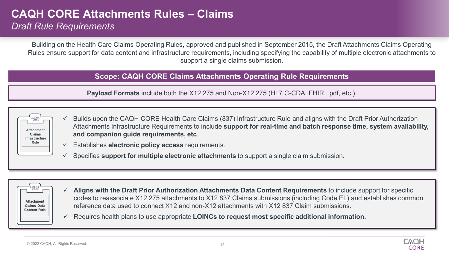### **CAQH CORE Attachments Rules – Claims**

*Draft Rule Requirements*

Building on the Health Care Claims Operating Rules, approved and published in September 2015, the Draft Attachments Claims Operating Rules ensure support for data content and infrastructure requirements, including specifying the capability of multiple electronic attachments to support a single claims submission.

#### **Scope: CAQH CORE Claims Attachments Operating Rule Requirements**

**Payload Formats** include both the X12 275 and Non-X12 275 (HL7 C-CDA, FHIR, .pdf, etc.).

| ۱Н.<br><b>CORE</b>                                           |  |
|--------------------------------------------------------------|--|
| <b>Attachment</b><br><b>Claims</b><br>Infrastructure<br>Rule |  |
|                                                              |  |

- $\checkmark$  Builds upon the CAQH CORE Health Care Claims (837) Infrastructure Rule and aligns with the Draft Prior Authorization Attachments Infrastructure Requirements to include **support for real-time and batch response time, system availability, and companion guide requirements, etc**.
- Establishes **electronic policy access** requirements.
- Specifies **support for multiple electronic attachments** to support a single claim submission.



- **Aligns with the Draft Prior Authorization Attachments Data Content Requirements** to include support for specific codes to reassociate X12 275 attachments to X12 837 Claims submissions (including Code EL) and establishes common reference data used to connect X12 and non-X12 attachments with X12 837 Claim submissions.
- Requires health plans to use appropriate **LOINCs to request most specific additional information.**

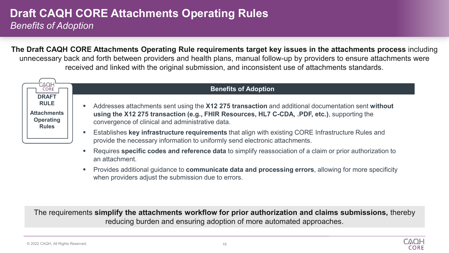### **Draft CAQH CORE Attachments Operating Rules** *Benefits of Adoption*

an attachment.

**The Draft CAQH CORE Attachments Operating Rule requirements target key issues in the attachments process** including unnecessary back and forth between providers and health plans, manual follow-up by providers to ensure attachments were received and linked with the original submission, and inconsistent use of attachments standards.

| <b>AQH</b><br>CORE                                                                    |                | <b>Benefits of Adoption</b>                                                                                                                                                                                                                           |  |  |  |
|---------------------------------------------------------------------------------------|----------------|-------------------------------------------------------------------------------------------------------------------------------------------------------------------------------------------------------------------------------------------------------|--|--|--|
| <b>DRAFT</b><br><b>RULE</b><br><b>Attachments</b><br><b>Operating</b><br><b>Rules</b> | $\blacksquare$ | Addresses attachments sent using the X12 275 transaction and additional documentation sent without<br>using the X12 275 transaction (e.g., FHIR Resources, HL7 C-CDA, .PDF, etc.), supporting the<br>convergence of clinical and administrative data. |  |  |  |
|                                                                                       |                | Establishes key infrastructure requirements that align with existing CORE Infrastructure Rules and<br>provide the necessary information to uniformly send electronic attachments.                                                                     |  |  |  |
|                                                                                       | $\mathbf{r}$   | Requires specific codes and reference data to simplify reassociation of a claim or prior authorization to                                                                                                                                             |  |  |  |

 Provides additional guidance to **communicate data and processing errors**, allowing for more specificity when providers adjust the submission due to errors.

The requirements **simplify the attachments workflow for prior authorization and claims submissions,** thereby reducing burden and ensuring adoption of more automated approaches.

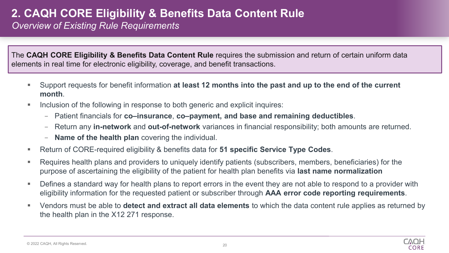### **2. CAQH CORE Eligibility & Benefits Data Content Rule**

*Overview of Existing Rule Requirements*

The **CAQH CORE Eligibility & Benefits Data Content Rule** requires the submission and return of certain uniform data elements in real time for electronic eligibility, coverage, and benefit transactions.

- Support requests for benefit information **at least 12 months into the past and up to the end of the current month**.
- Inclusion of the following in response to both generic and explicit inquires:
	- Patient financials for **co–insurance**, **co–payment, and base and remaining deductibles**.
	- Return any **in-network** and **out-of-network** variances in financial responsibility; both amounts are returned.
	- **Name of the health plan** covering the individual.
- Return of CORE-required eligibility & benefits data for **51 specific Service Type Codes**.
- Requires health plans and providers to uniquely identify patients (subscribers, members, beneficiaries) for the purpose of ascertaining the eligibility of the patient for health plan benefits via **last name normalization**
- Defines a standard way for health plans to report errors in the event they are not able to respond to a provider with eligibility information for the requested patient or subscriber through **AAA error code reporting requirements**.
- Vendors must be able to **detect and extract all data elements** to which the data content rule applies as returned by the health plan in the X12 271 response.

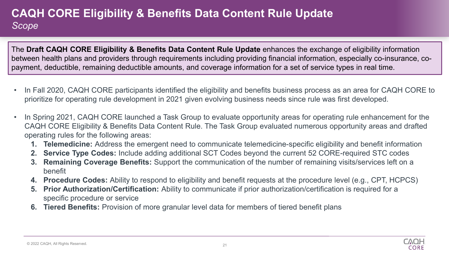### **CAQH CORE Eligibility & Benefits Data Content Rule Update** *Scope*

The **Draft CAQH CORE Eligibility & Benefits Data Content Rule Update** enhances the exchange of eligibility information between health plans and providers through requirements including providing financial information, especially co-insurance, copayment, deductible, remaining deductible amounts, and coverage information for a set of service types in real time.

- In Fall 2020, CAQH CORE participants identified the eligibility and benefits business process as an area for CAQH CORE to prioritize for operating rule development in 2021 given evolving business needs since rule was first developed.
- In Spring 2021, CAQH CORE launched a Task Group to evaluate opportunity areas for operating rule enhancement for the CAQH CORE Eligibility & Benefits Data Content Rule. The Task Group evaluated numerous opportunity areas and drafted operating rules for the following areas:
	- **1. Telemedicine:** Address the emergent need to communicate telemedicine-specific eligibility and benefit information
	- **2. Service Type Codes:** Include adding additional SCT Codes beyond the current 52 CORE-required STC codes
	- **3. Remaining Coverage Benefits:** Support the communication of the number of remaining visits/services left on a benefit
	- **4. Procedure Codes:** Ability to respond to eligibility and benefit requests at the procedure level (e.g., CPT, HCPCS)
	- **5. Prior Authorization/Certification:** Ability to communicate if prior authorization/certification is required for a specific procedure or service
	- **6. Tiered Benefits:** Provision of more granular level data for members of tiered benefit plans

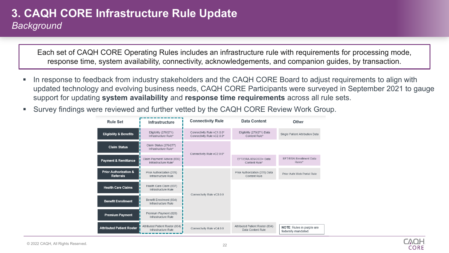### **3. CAQH CORE Infrastructure Rule Update** *Background*

Each set of CAQH CORE Operating Rules includes an infrastructure rule with requirements for processing mode, response time, system availability, connectivity, acknowledgements, and companion guides, by transaction.

- In response to feedback from industry stakeholders and the CAQH CORE Board to adjust requirements to align with updated technology and evolving business needs, CAQH CORE Participants were surveyed in September 2021 to gauge support for updating **system availability** and **response time requirements** across all rule sets.
- Survey findings were reviewed and further vetted by the CAQH CORE Review Work Group.



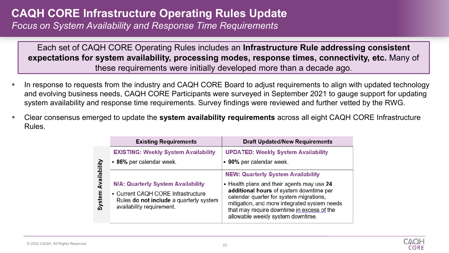### **CAQH CORE Infrastructure Operating Rules Update**

*Focus on System Availability and Response Time Requirements*

Each set of CAQH CORE Operating Rules includes an **Infrastructure Rule addressing consistent expectations for system availability, processing modes, response times, connectivity, etc.** Many of these requirements were initially developed more than a decade ago.

- In response to requests from the industry and CAQH CORE Board to adjust requirements to align with updated technology and evolving business needs, CAQH CORE Participants were surveyed in September 2021 to gauge support for updating system availability and response time requirements. Survey findings were reviewed and further vetted by the RWG.
- Clear consensus emerged to update the **system availability requirements** across all eight CAQH CORE Infrastructure Rules.

|                      | <b>Existing Requirements</b>                                                                                                                     | <b>Draft Updated/New Requirements</b>                                                                                                                                                                                                                                                                            |
|----------------------|--------------------------------------------------------------------------------------------------------------------------------------------------|------------------------------------------------------------------------------------------------------------------------------------------------------------------------------------------------------------------------------------------------------------------------------------------------------------------|
|                      | <b>EXISTING: Weekly System Availability</b>                                                                                                      | <b>UPDATED: Weekly System Availability</b>                                                                                                                                                                                                                                                                       |
|                      | • 86% per calendar week.                                                                                                                         | • 90% per calendar week.                                                                                                                                                                                                                                                                                         |
| Avallabllu<br>system | N/A: Quarterly System Availability<br>• Current CAQH CORE Infrastructure<br>Rules do not include a quarterly system<br>availability requirement. | <b>NEW: Quarterly System Availability</b><br>- Health plans and their agents may use 24<br>additional hours of system downtime per<br>calendar quarter for system migrations,<br>mitigation, and more integrated system needs<br>that may require downtime in excess of the<br>allowable weekly system downtime. |

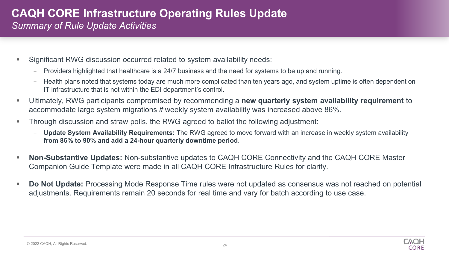#### **CAQH CORE Infrastructure Operating Rules Update** *Summary of Rule Update Activities*

- Significant RWG discussion occurred related to system availability needs:
	- Providers highlighted that healthcare is a 24/7 business and the need for systems to be up and running.
	- Health plans noted that systems today are much more complicated than ten years ago, and system uptime is often dependent on IT infrastructure that is not within the EDI department's control.
- Ultimately, RWG participants compromised by recommending a **new quarterly system availability requirement** to accommodate large system migrations *if* weekly system availability was increased above 86%.
- Through discussion and straw polls, the RWG agreed to ballot the following adjustment:
	- **Update System Availability Requirements:** The RWG agreed to move forward with an increase in weekly system availability **from 86% to 90% and add a 24-hour quarterly downtime period**.
- **Non-Substantive Updates:** Non-substantive updates to CAQH CORE Connectivity and the CAQH CORE Master Companion Guide Template were made in all CAQH CORE Infrastructure Rules for clarify.
- **Do Not Update:** Processing Mode Response Time rules were not updated as consensus was not reached on potential adjustments. Requirements remain 20 seconds for real time and vary for batch according to use case.

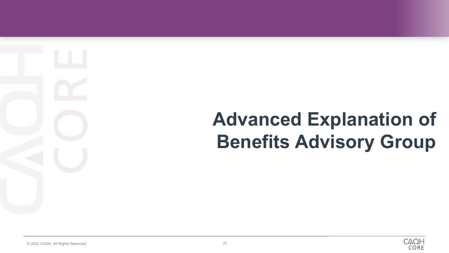**Advanced Explanation of Benefits Advisory Group**

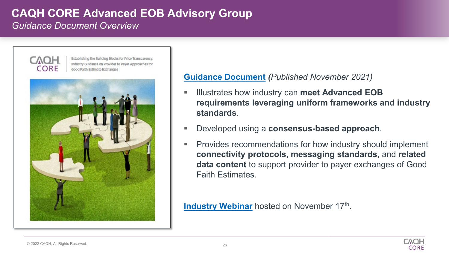#### **CAQH CORE Advanced EOB Advisory Group** *Guidance Document Overview*



Establishing the Building Blocks for Price Transparency: Industry Guidance on Provider to Payer Approaches for Good Falth Estimate Exchanges



#### **[Guidance Document](https://www.caqh.org/sites/default/files/CORE%20-%20Price%20Transparency%20Whitepaper_v4.pdf)** *(Published November 2021)*

- Illustrates how industry can **meet Advanced EOB requirements leveraging uniform frameworks and industry standards**.
- Developed using a **consensus-based approach**.
- **Provides recommendations for how industry should implement connectivity protocols**, **messaging standards**, and **related data content** to support provider to payer exchanges of Good Faith Estimates.

**[Industry Webinar](https://www.youtube.com/watch?v=r1Xm-AjZ_vo)** hosted on November 17th.

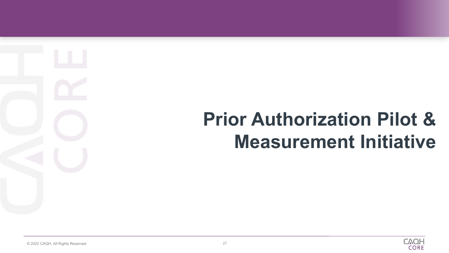## **Prior Authorization Pilot & Measurement Initiative**

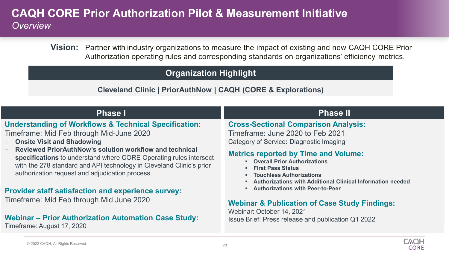### **CAQH CORE Prior Authorization Pilot & Measurement Initiative** *Overview*

**Vision:** Partner with industry organizations to measure the impact of existing and new CAQH CORE Prior Authorization operating rules and corresponding standards on organizations' efficiency metrics.

#### **C Organization Highlight**

#### **Cleveland Clinic | PriorAuthNow | CAQH (CORE & Explorations)**

**Understanding of Workflows & Technical Specification:** Timeframe: Mid Feb through Mid-June 2020

- **Onsite Visit and Shadowing**
- **Reviewed PriorAuthNow's solution workflow and technical specifications** to understand where CORE Operating rules intersect with the 278 standard and API technology in Cleveland Clinic's prior authorization request and adjudication process.

#### **Provider staff satisfaction and experience survey:**

Timeframe: Mid Feb through Mid June 2020

#### **Webinar – Prior Authorization Automation Case Study:**

Timeframe: August 17, 2020

#### **Phase I Phase II**

**Cross-Sectional Comparison Analysis:**

Timeframe: June 2020 to Feb 2021 Category of Service**:** Diagnostic Imaging

#### **Metrics reported by Time and Volume:**

- **Overall Prior Authorizations**
- **First Pass Status**
- **Touchless Authorizations**
- **Authorizations with Additional Clinical Information needed**
- **Authorizations with Peer-to-Peer**

#### **Webinar & Publication of Case Study Findings:**

Webinar: October 14, 2021 Issue Brief: Press release and publication Q1 2022

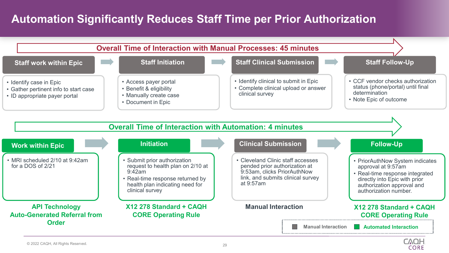### **Automation Significantly Reduces Staff Time per Prior Authorization**



**CORE**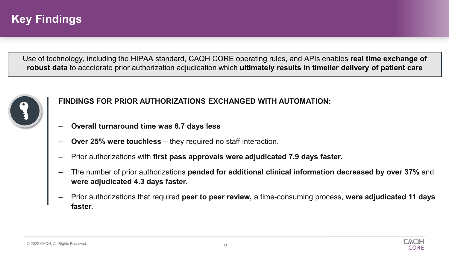### **Key Findings**

Use of technology, including the HIPAA standard, CAQH CORE operating rules, and APIs enables **real time exchange of robust data** to accelerate prior authorization adjudication which **ultimately results in timelier delivery of patient care**



#### **FINDINGS FOR PRIOR AUTHORIZATIONS EXCHANGED WITH AUTOMATION:**

- ‒ **Overall turnaround time was 6.7 days less**
- ‒ **Over 25% were touchless**  they required no staff interaction.
- ‒ Prior authorizations with **first pass approvals were adjudicated 7.9 days faster.**
- ‒ The number of prior authorizations **pended for additional clinical information decreased by over 37%** and **were adjudicated 4.3 days faster.**
- ‒ Prior authorizations that required **peer to peer review,** a time-consuming process, **were adjudicated 11 days faster.**

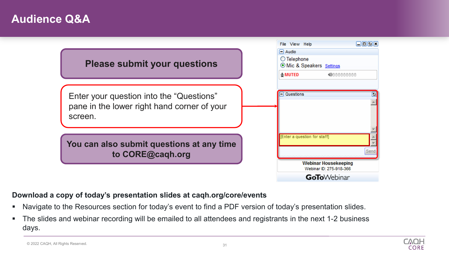### **Audience Q&A**



#### **Download a copy of today's presentation slides at caqh.org/core/events**

- Navigate to the Resources section for today's event to find a PDF version of today's presentation slides.
- The slides and webinar recording will be emailed to all attendees and registrants in the next 1-2 business days.